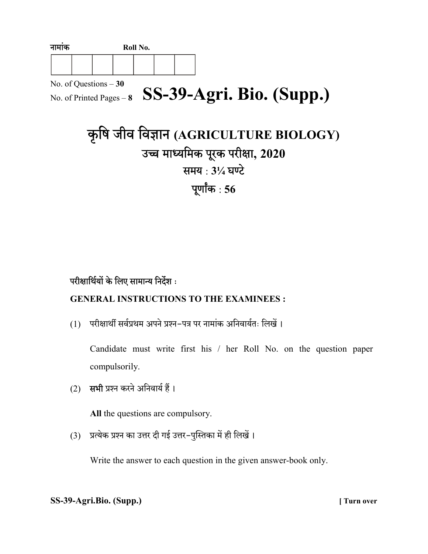| नामाक                  | Roll No. |  |  |  |  |  |  |  |                                                   |  |
|------------------------|----------|--|--|--|--|--|--|--|---------------------------------------------------|--|
|                        |          |  |  |  |  |  |  |  |                                                   |  |
| No. of Questions $-30$ |          |  |  |  |  |  |  |  |                                                   |  |
|                        |          |  |  |  |  |  |  |  | No. of Printed Pages - 8 SS-39-Agri. Bio. (Supp.) |  |

# कृषि जीव विज्ञान (AGRICULTURE BIOLOGY) उच्च माध्यमिक पूरक परीक्षा, 2020 समय: 31⁄4 घण्टे पूर्णांक $:56$

## परीक्षार्थियों के लिए सामान्य निर्देश :

## GENERAL INSTRUCTIONS TO THE EXAMINEES :

(1) परीक्षार्थी सर्वप्रथम अपने प्रश्न-पत्र पर नामांक अनिवार्यतः लिखें।

Candidate must write first his / her Roll No. on the question paper compulsorily.

(2) सभी प्रश्न करने अनिवार्य हैं।

All the questions are compulsory.

(3) प्रत्येक प्रश्न का उत्तर दी गई उत्तर-पुस्तिका में ही लिखें।

Write the answer to each question in the given answer-book only.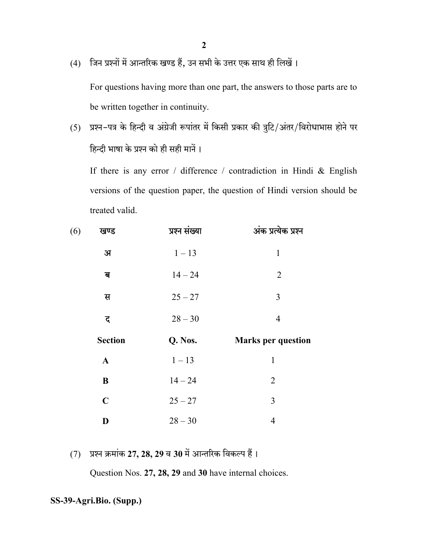(4) जिन प्रश्नों में आन्तरिक खण्ड हैं, उन सभी के उत्तर एक साथ ही लिखें।

For questions having more than one part, the answers to those parts are to be written together in continuity.

(5) प्रश्न-पत्र के हिन्दी व अंग्रेजी रूपांतर में किसी प्रकार की त्रुटि/अंतर/विरोधाभास होने पर हिन्दी भाषा के प्रश्न को ही सही मानें।

If there is any error / difference / contradiction in Hindi & English versions of the question paper, the question of Hindi version should be treated valid.

| (6)<br>खण्ड    | प्रश्न संख्या | अंक प्रत्येक प्रश्न       |
|----------------|---------------|---------------------------|
| अ              | $1 - 13$      | $\mathbf{1}$              |
| ब              | $14 - 24$     | $\overline{2}$            |
| स              | $25 - 27$     | 3                         |
| द              | $28 - 30$     | $\overline{4}$            |
|                |               |                           |
| <b>Section</b> | Q. Nos.       | <b>Marks per question</b> |
| $\mathbf{A}$   | $1 - 13$      | $\mathbf{1}$              |
| $\bf{B}$       | $14 - 24$     | $\overline{2}$            |
| $\mathbf C$    | $25 - 27$     | 3                         |

 $(7)$  प्रश्न क्रमांक 27, 28, 29 व 30 में आन्तरिक विकल्प हैं।

Question Nos. 27, 28, 29 and 30 have internal choices.

SS-39-Agri.Bio. (Supp.)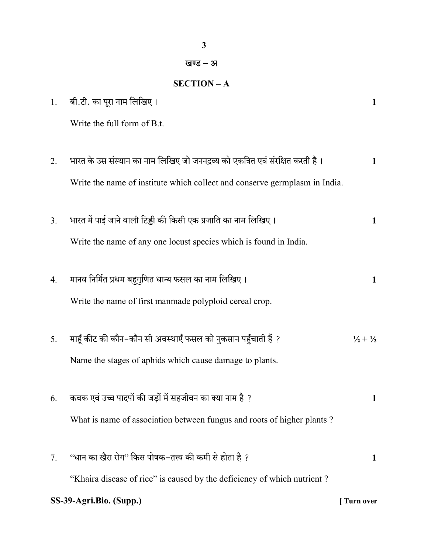### खण्ड – अ

## SECTION – A

| 1.                                   | बी.टी. का पूरा नाम लिखिए।                                                     | $\mathbf{1}$                |  |  |
|--------------------------------------|-------------------------------------------------------------------------------|-----------------------------|--|--|
|                                      | Write the full form of B.t.                                                   |                             |  |  |
|                                      |                                                                               |                             |  |  |
| 2.                                   | भारत के उस संस्थान का नाम लिखिए जो जननद्रव्य को एकत्रित एवं संरक्षित करती है। | $\mathbf{1}$                |  |  |
|                                      | Write the name of institute which collect and conserve germplasm in India.    |                             |  |  |
|                                      |                                                                               |                             |  |  |
| 3.                                   | भारत में पाई जाने वाली टिड्डी की किसी एक प्रजाति का नाम लिखिए।                | 1                           |  |  |
|                                      | Write the name of any one locust species which is found in India.             |                             |  |  |
| 4.                                   | मानव निर्मित प्रथम बहुगुणित धान्य फसल का नाम लिखिए।                           | 1                           |  |  |
|                                      |                                                                               |                             |  |  |
|                                      | Write the name of first manmade polyploid cereal crop.                        |                             |  |  |
| 5.                                   | माहूँ कीट की कौन–कौन सी अवस्थाएँ फसल को नुकसान पहुँचाती हैं ?                 | $\frac{1}{2} + \frac{1}{2}$ |  |  |
|                                      | Name the stages of aphids which cause damage to plants.                       |                             |  |  |
|                                      |                                                                               |                             |  |  |
| 6.                                   | कवक एवं उच्च पादपों की जड़ों में सहजीवन का क्या नाम है ?                      | 1                           |  |  |
|                                      | What is name of association between fungus and roots of higher plants?        |                             |  |  |
|                                      |                                                                               |                             |  |  |
| 7.                                   | ''धान का खैरा रोग'' किस पोषक–तत्त्व की कमी से होता है  ?                      | 1                           |  |  |
|                                      | "Khaira disease of rice" is caused by the deficiency of which nutrient?       |                             |  |  |
| SS-39-Agri.Bio. (Supp.)<br>Turn over |                                                                               |                             |  |  |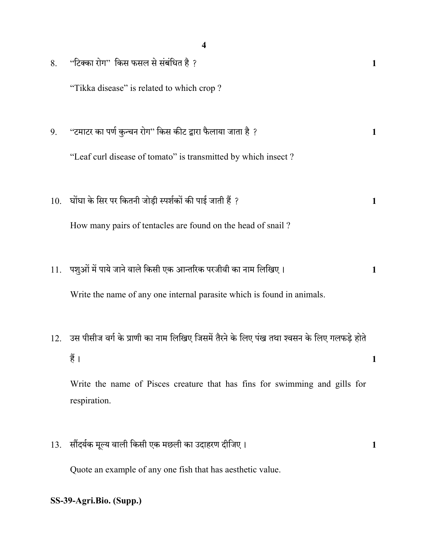|     | 4                                                                                               |   |
|-----|-------------------------------------------------------------------------------------------------|---|
| 8.  | ''टिक्का रोग'' किस फसल से संबंधित है ?                                                          |   |
|     | "Tikka disease" is related to which crop?                                                       |   |
|     |                                                                                                 |   |
| 9.  | ''टमाटर का पर्ण कुन्चन रोग'' किस कीट द्वारा फैलाया जाता है ?                                    | 1 |
|     | "Leaf curl disease of tomato" is transmitted by which insect?                                   |   |
|     |                                                                                                 |   |
| 10. | घोंघा के सिर पर कितनी जोड़ी स्पर्शकों की पाई जाती हैं ?                                         | 1 |
|     | How many pairs of tentacles are found on the head of snail?                                     |   |
|     |                                                                                                 |   |
| 11. | पशुओं में पाये जाने वाले किसी एक आन्तरिक परजीवी का नाम लिखिए।                                   | 1 |
|     | Write the name of any one internal parasite which is found in animals.                          |   |
|     |                                                                                                 |   |
|     | 12.   उस पीसीज वर्ग के प्राणी का नाम लिखिए जिसमें तैरने के लिए पंख तथा श्वसन के लिए गलफड़े होते |   |
|     | हैं ।                                                                                           | 1 |
|     | Write the name of Pisces creature that has fins for swimming and gills for                      |   |
|     | respiration.                                                                                    |   |
|     |                                                                                                 |   |
| 13. | सौंदर्यक मूल्य वाली किसी एक मछली का उदाहरण दीजिए।                                               | 1 |
|     | Quote an example of any one fish that has aesthetic value.                                      |   |
|     | SS-39-Agri.Bio. (Supp.)                                                                         |   |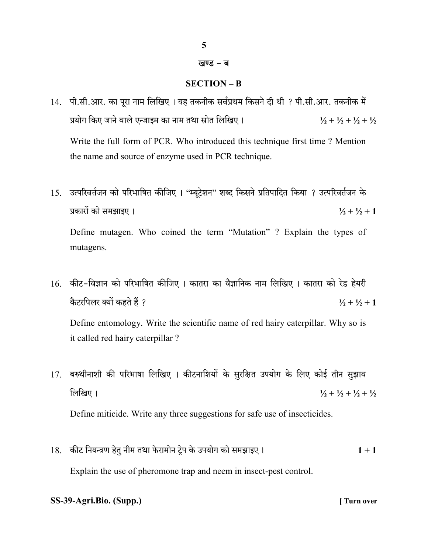#### खण्ड – ब

### SECTION – B

- 14. पी.सी.आर. का पुरा नाम लिखिए। यह तकनीक सर्वप्रथम किसने दी थी ? पी.सी.आर. तकनीक में प्रयोग किए जाने वाले एन्जाइम का नाम तथा स्रोत लिखिए।  $\frac{1}{2} + \frac{1}{2} + \frac{1}{2} + \frac{1}{2} + \frac{1}{2}$ Write the full form of PCR. Who introduced this technique first time ? Mention the name and source of enzyme used in PCR technique.
- 15. उत्परिवर्तजन को परिभाषित कीजिए । "म्यूटेशन" शब्द किसने प्रतिपादित किया ? उत्परिवर्तजन के प्रकारों को समझाइए ।  $\frac{1}{2} + \frac{1}{2} + 1$  Define mutagen. Who coined the term "Mutation" ? Explain the types of mutagens.
- 16. कीट-विज्ञान को परिभाषित कीजिए । कातरा का वैज्ञानिक नाम लिखिए । कातरा को रेड हेयरी कैटरपिलर क्यों कहते हैं ? बाल के साथ करने के साथ मेरे से स्था कर से स्था कर से स्था कर से स्था कर के साथ मेरे

 Define entomology. Write the scientific name of red hairy caterpillar. Why so is it called red hairy caterpillar ?

- 17. बरुथीनाशी की परिभाषा लिखिए । कीटनाशियों के सुरक्षित उपयोग के लिए कोई तीन सुझाव लिखिए ।  $\frac{1}{2} + \frac{1}{2} + \frac{1}{2} + \frac{1}{2}$ Define miticide. Write any three suggestions for safe use of insecticides.
- 18. 1 + 1 Explain the use of pheromone trap and neem in insect-pest control.

### SS-39-Agri.Bio. (Supp.) [ Turn over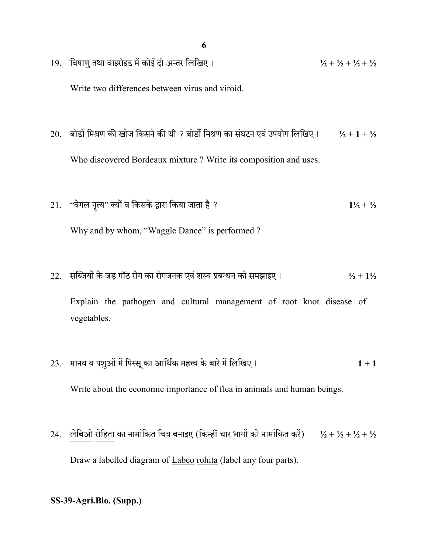- 19. विषाणु तथा वाइरोइड में कोई दो अन्तर लिखिए।  $\frac{1}{2} + \frac{1}{2} + \frac{1}{2} + \frac{1}{2} + \frac{1}{2}$ Write two differences between virus and viroid.
- 20. बोर्डो मिश्रण की खोज किसने की थी ? बोर्डो मिश्रण का संघटन एवं उपयोग लिखिए।  $\frac{1}{2} + 1 + \frac{1}{2}$ Who discovered Bordeaux mixture ? Write its composition and uses.
- 21. " " ? 1½ + ½ Why and by whom, "Waggle Dance" is performed?
- 22. सब्जियों के जड़ गाँठ रोग का रोगजनक एवं शस्य प्रबन्धन को समझाइए।  $1/2$  +  $1/2$

 Explain the pathogen and cultural management of root knot disease of vegetables.

- 23. मानव व पशुओं में पिस्सू का आर्थिक महत्त्व के बारे में लिखिए।  $1 + 1$ Write about the economic importance of flea in animals and human beings.
- 24. लेबिओ रोहिता का नामांकित चित्र बनाइए (किन्हीं चार भागों को नामांकित करें)  $\frac{1}{2} + \frac{1}{2} + \frac{1}{2} + \frac{1}{2}$ Draw a labelled diagram of Labeo rohita (label any four parts).
- SS-39-Agri.Bio. (Supp.)

6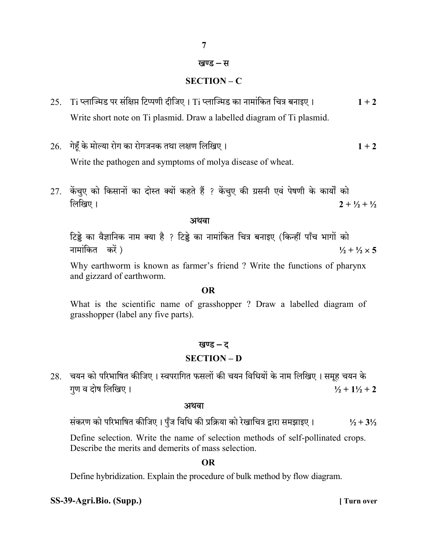## खण्ड – स

7

## SECTION – C

- 25. Ti प्लाज्मिड पर संक्षिप्त टिप्पणी दीजिए । Ti प्लाज्मिड का नामांकित चित्र बनाइए ।  $1 + 2$ Write short note on Ti plasmid. Draw a labelled diagram of Ti plasmid.
- 26. गेहूँ के मोल्या रोग का रोगजनक तथा लक्षण लिखिए।  $1 + 2$

Write the pathogen and symptoms of molya disease of wheat.

27. केंचुए को किसानों का दोस्त क्यों कहते हैं ? केंचुए की ग्रसनी एवं पेषणी के कार्यों को लिखिए । 2 +  $\frac{1}{2}$  +  $\frac{1}{2}$  +  $\frac{1}{2}$ 

#### अथवा

टिड्डे का वैज्ञानिक नाम क्या है ? टिड्डे का नामांकित चित्र बनाइए (किन्हीं पाँच भागों को नामांकित करें) बाद कर से साथ करने कर से साथ करने हैं कि उसके साथ करने हैं जा कि उसके साथ करने हैं जा कि उस से

 Why earthworm is known as farmer's friend ? Write the functions of pharynx and gizzard of earthworm.

#### OR

 What is the scientific name of grasshopper ? Draw a labelled diagram of grasshopper (label any five parts).

#### खण्ड – द

#### SECTION – D

28. चयन को परिभाषित कीजिए। स्वपरागित फसलों की चयन विधियों के नाम लिखिए। समूह चयन के गण व दोष लिखिए ।  $\frac{1}{2} + 1\frac{1}{2} + 2$ 

#### अथवा

संकरण को परिभाषित कीजिए। पुँज विधि की प्रक्रिया को रेखाचित्र द्वारा समझाइए।  $1/2 + 3/2$ 

Define selection. Write the name of selection methods of self-pollinated crops. Describe the merits and demerits of mass selection.

OR

Define hybridization. Explain the procedure of bulk method by flow diagram.

#### SS-39-Agri.Bio. (Supp.) [ Turn over